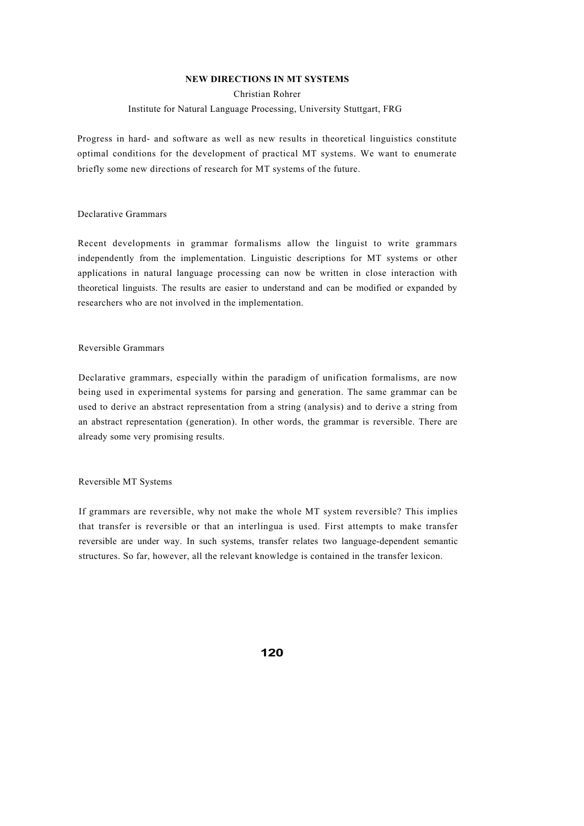# **NEW DIRECTIONS IN MT SYSTEMS**

# Christian Rohrer

### Institute for Natural Language Processing, University Stuttgart, FRG

Progress in hard- and software as well as new results in theoretical linguistics constitute optimal conditions for the development of practical MT systems. We want to enumerate briefly some new directions of research for MT systems of the future.

### Declarative Grammars

Recent developments in grammar formalisms allow the linguist to write grammars independently from the implementation. Linguistic descriptions for MT systems or other applications in natural language processing can now be written in close interaction with theoretical linguists. The results are easier to understand and can be modified or expanded by researchers who are not involved in the implementation.

# Reversible Grammars

Declarative grammars, especially within the paradigm of unification formalisms, are now being used in experimental systems for parsing and generation. The same grammar can be used to derive an abstract representation from a string (analysis) and to derive a string from an abstract representation (generation). In other words, the grammar is reversible. There are already some very promising results.

#### Reversible MT Systems

If grammars are reversible, why not make the whole MT system reversible? This implies that transfer is reversible or that an interlingua is used. First attempts to make transfer reversible are under way. In such systems, transfer relates two language-dependent semantic structures. So far, however, all the relevant knowledge is contained in the transfer lexicon.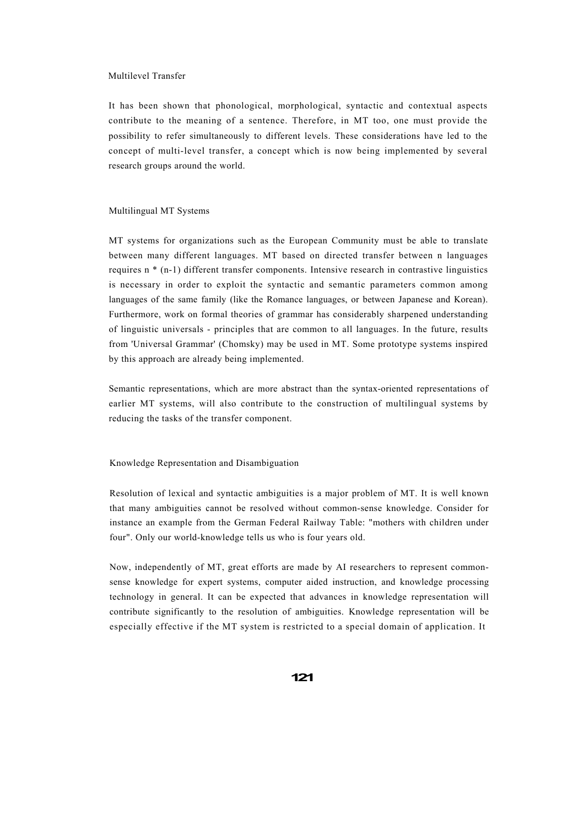#### Multilevel Transfer

It has been shown that phonological, morphological, syntactic and contextual aspects contribute to the meaning of a sentence. Therefore, in MT too, one must provide the possibility to refer simultaneously to different levels. These considerations have led to the concept of multi-level transfer, a concept which is now being implemented by several research groups around the world.

### Multilingual MT Systems

MT systems for organizations such as the European Community must be able to translate between many different languages. MT based on directed transfer between n languages requires n \* (n-1) different transfer components. Intensive research in contrastive linguistics is necessary in order to exploit the syntactic and semantic parameters common among languages of the same family (like the Romance languages, or between Japanese and Korean). Furthermore, work on formal theories of grammar has considerably sharpened understanding of linguistic universals - principles that are common to all languages. In the future, results from 'Universal Grammar' (Chomsky) may be used in MT. Some prototype systems inspired by this approach are already being implemented.

Semantic representations, which are more abstract than the syntax-oriented representations of earlier MT systems, will also contribute to the construction of multilingual systems by reducing the tasks of the transfer component.

Knowledge Representation and Disambiguation

Resolution of lexical and syntactic ambiguities is a major problem of MT. It is well known that many ambiguities cannot be resolved without common-sense knowledge. Consider for instance an example from the German Federal Railway Table: "mothers with children under four". Only our world-knowledge tells us who is four years old.

Now, independently of MT, great efforts are made by AI researchers to represent commonsense knowledge for expert systems, computer aided instruction, and knowledge processing technology in general. It can be expected that advances in knowledge representation will contribute significantly to the resolution of ambiguities. Knowledge representation will be especially effective if the MT system is restricted to a special domain of application. It

**121**